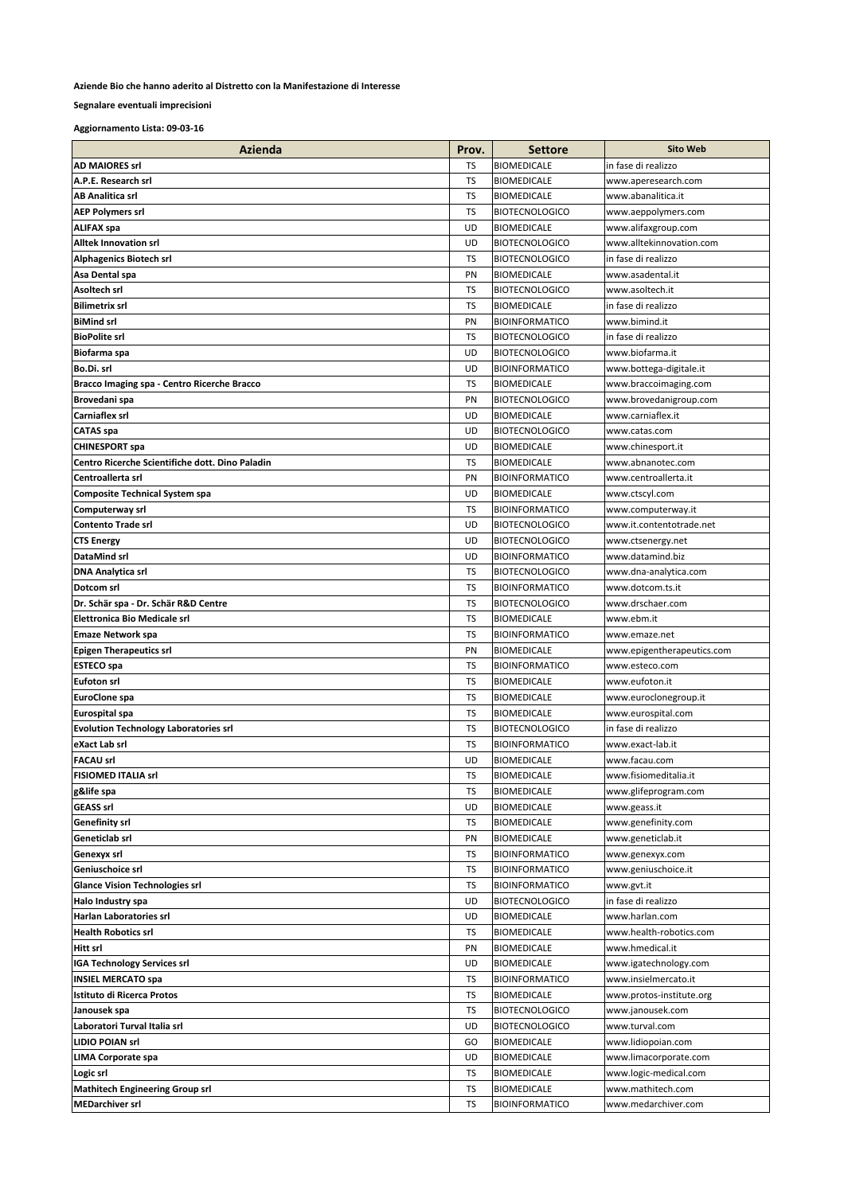## Aziende Bio che hanno aderito al Distretto con la Manifestazione di Interesse

Segnalare eventuali imprecisioni

Aggiornamento Lista: 09-03-16

| Azienda                                                                  | Prov.     | <b>Settore</b>        | <b>Sito Web</b>            |
|--------------------------------------------------------------------------|-----------|-----------------------|----------------------------|
| <b>AD MAIORES srl</b>                                                    | TS        | <b>BIOMEDICALE</b>    | in fase di realizzo        |
| A.P.E. Research srl                                                      | TS        | <b>BIOMEDICALE</b>    | www.aperesearch.com        |
| <b>AB Analitica srl</b>                                                  | TS        | <b>BIOMEDICALE</b>    | www.abanalitica.it         |
| <b>AEP Polymers srl</b>                                                  | <b>TS</b> | <b>BIOTECNOLOGICO</b> | www.aeppolymers.com        |
| <b>ALIFAX spa</b>                                                        | UD        | <b>BIOMEDICALE</b>    | www.alifaxgroup.com        |
| <b>Alltek Innovation srl</b>                                             | UD        | <b>BIOTECNOLOGICO</b> | www.alltekinnovation.com   |
| <b>Alphagenics Biotech srl</b>                                           | TS        | <b>BIOTECNOLOGICO</b> | in fase di realizzo        |
| Asa Dental spa                                                           | PN        | <b>BIOMEDICALE</b>    | www.asadental.it           |
| Asoltech srl                                                             | TS        | <b>BIOTECNOLOGICO</b> | www.asoltech.it            |
| <b>Bilimetrix srl</b>                                                    | TS        | <b>BIOMEDICALE</b>    | in fase di realizzo        |
| <b>BiMind srl</b>                                                        | PN        | <b>BIOINFORMATICO</b> | www.bimind.it              |
| <b>BioPolite srl</b>                                                     | TS        | <b>BIOTECNOLOGICO</b> | in fase di realizzo        |
| Biofarma spa                                                             | UD        | <b>BIOTECNOLOGICO</b> | www.biofarma.it            |
| Bo.Di. srl                                                               | UD        | <b>BIOINFORMATICO</b> | www.bottega-digitale.it    |
| Bracco Imaging spa - Centro Ricerche Bracco                              | TS        | <b>BIOMEDICALE</b>    | www.braccoimaging.com      |
| Brovedani spa                                                            | PN        | <b>BIOTECNOLOGICO</b> | www.brovedanigroup.com     |
| <b>Carniaflex srl</b>                                                    | UD        | <b>BIOMEDICALE</b>    | www.carniaflex.it          |
| <b>CATAS</b> spa                                                         | UD        | <b>BIOTECNOLOGICO</b> | www.catas.com              |
|                                                                          | UD        | <b>BIOMEDICALE</b>    | www.chinesport.it          |
| <b>CHINESPORT spa</b><br>Centro Ricerche Scientifiche dott. Dino Paladin | TS        | <b>BIOMEDICALE</b>    | www.abnanotec.com          |
|                                                                          |           |                       |                            |
| Centroallerta srl                                                        | PN        | <b>BIOINFORMATICO</b> | www.centroallerta.it       |
| <b>Composite Technical System spa</b>                                    | UD        | <b>BIOMEDICALE</b>    | www.ctscyl.com             |
| Computerway srl                                                          | TS        | <b>BIOINFORMATICO</b> | www.computerway.it         |
| <b>Contento Trade srl</b>                                                | UD        | <b>BIOTECNOLOGICO</b> | www.it.contentotrade.net   |
| <b>CTS Energy</b>                                                        | UD        | <b>BIOTECNOLOGICO</b> | www.ctsenergy.net          |
| <b>DataMind srl</b>                                                      | UD        | <b>BIOINFORMATICO</b> | www.datamind.biz           |
| <b>DNA Analytica srl</b>                                                 | TS        | <b>BIOTECNOLOGICO</b> | www.dna-analytica.com      |
| Dotcom srl                                                               | TS        | <b>BIOINFORMATICO</b> | www.dotcom.ts.it           |
| Dr. Schär spa - Dr. Schär R&D Centre                                     | TS        | <b>BIOTECNOLOGICO</b> | www.drschaer.com           |
| <b>Elettronica Bio Medicale srl</b>                                      | TS        | <b>BIOMEDICALE</b>    | www.ebm.it                 |
| <b>Emaze Network spa</b>                                                 | TS        | <b>BIOINFORMATICO</b> | www.emaze.net              |
| <b>Epigen Therapeutics srl</b>                                           | PN        | <b>BIOMEDICALE</b>    | www.epigentherapeutics.com |
| <b>ESTECO</b> spa                                                        | TS        | <b>BIOINFORMATICO</b> | www.esteco.com             |
| <b>Eufoton srl</b>                                                       | TS        | <b>BIOMEDICALE</b>    | www.eufoton.it             |
| <b>EuroClone</b> spa                                                     | TS        | <b>BIOMEDICALE</b>    | www.euroclonegroup.it      |
| Eurospital spa                                                           | TS        | <b>BIOMEDICALE</b>    | www.eurospital.com         |
| <b>Evolution Technology Laboratories srl</b>                             | TS        | <b>BIOTECNOLOGICO</b> | in fase di realizzo        |
| eXact Lab srl                                                            | TS        | <b>BIOINFORMATICO</b> | www.exact-lab.it           |
| <b>FACAU srl</b>                                                         | UD        | <b>BIOMEDICALE</b>    | www.facau.com              |
| <b>FISIOMED ITALIA srl</b>                                               | TS        | <b>BIOMEDICALE</b>    | www.fisiomeditalia.it      |
| g&life spa                                                               | TS        | <b>BIOMEDICALE</b>    | www.glifeprogram.com       |
| <b>GEASS srl</b>                                                         | UD        | <b>BIOMEDICALE</b>    | www.geass.it               |
| <b>Genefinity srl</b>                                                    | TS        | <b>BIOMEDICALE</b>    | www.genefinity.com         |
| Geneticlab srl                                                           | PN        | <b>BIOMEDICALE</b>    | www.geneticlab.it          |
| Genexyx srl                                                              | TS        | <b>BIOINFORMATICO</b> | www.genexyx.com            |
| Geniuschoice srl                                                         | TS        | <b>BIOINFORMATICO</b> | www.geniuschoice.it        |
| <b>Glance Vision Technologies srl</b>                                    | TS        | <b>BIOINFORMATICO</b> | www.gvt.it                 |
| Halo Industry spa                                                        | UD        | <b>BIOTECNOLOGICO</b> | in fase di realizzo        |
| Harlan Laboratories srl                                                  | UD        | <b>BIOMEDICALE</b>    | www.harlan.com             |
| <b>Health Robotics srl</b>                                               | TS        | <b>BIOMEDICALE</b>    | www.health-robotics.com    |
| <b>Hitt srl</b>                                                          | PN        | <b>BIOMEDICALE</b>    | www.hmedical.it            |
| <b>IGA Technology Services srl</b>                                       | UD        | <b>BIOMEDICALE</b>    | www.igatechnology.com      |
| <b>INSIEL MERCATO spa</b>                                                | TS        | <b>BIOINFORMATICO</b> | www.insielmercato.it       |
| Istituto di Ricerca Protos                                               | TS        | <b>BIOMEDICALE</b>    | www.protos-institute.org   |
| Janousek spa                                                             | TS        | <b>BIOTECNOLOGICO</b> | www.janousek.com           |
| Laboratori Turval Italia srl                                             | UD        | <b>BIOTECNOLOGICO</b> | www.turval.com             |
| <b>LIDIO POIAN srl</b>                                                   | GO        | <b>BIOMEDICALE</b>    | www.lidiopoian.com         |
| <b>LIMA Corporate spa</b>                                                | UD        | <b>BIOMEDICALE</b>    | www.limacorporate.com      |
| Logic srl                                                                | TS        | <b>BIOMEDICALE</b>    | www.logic-medical.com      |
| <b>Mathitech Engineering Group srl</b>                                   | TS        | <b>BIOMEDICALE</b>    | www.mathitech.com          |
| <b>MEDarchiver srl</b>                                                   | TS        | <b>BIOINFORMATICO</b> | www.medarchiver.com        |
|                                                                          |           |                       |                            |